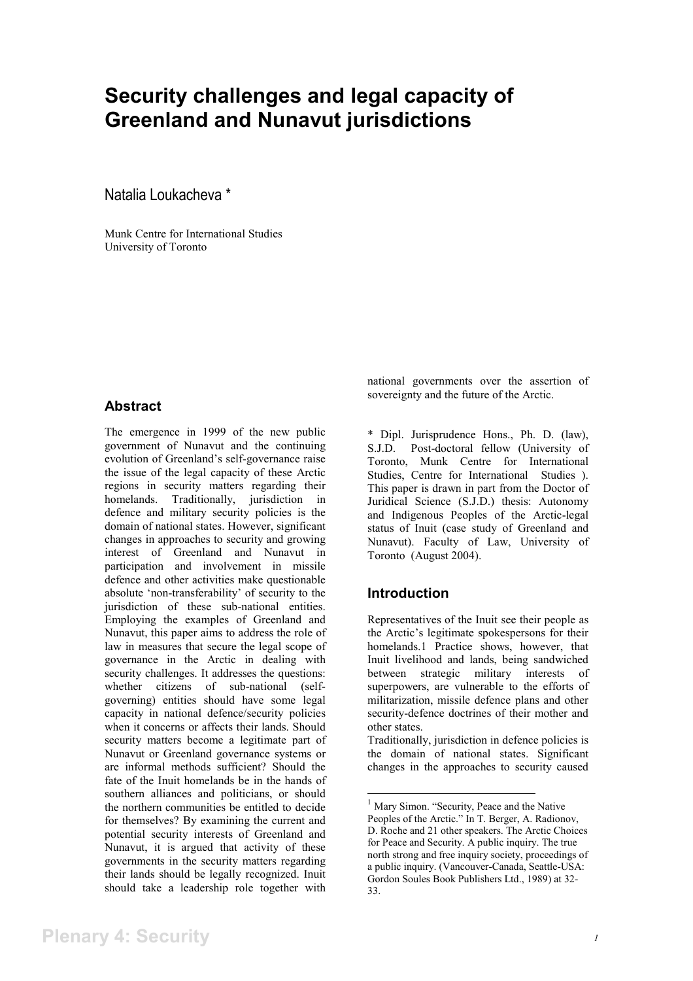# **Security challenges and legal capacity of Greenland and Nunavut jurisdictions**

Natalia Loukacheva \*

Munk Centre for International Studies University of Toronto

## **Abstract**

The emergence in 1999 of the new public government of Nunavut and the continuing evolution of Greenland's self-governance raise the issue of the legal capacity of these Arctic regions in security matters regarding their homelands. Traditionally, jurisdiction in defence and military security policies is the domain of national states. However, significant changes in approaches to security and growing interest of Greenland and Nunavut in participation and involvement in missile defence and other activities make questionable absolute 'non-transferability' of security to the jurisdiction of these sub-national entities. Employing the examples of Greenland and Nunavut, this paper aims to address the role of law in measures that secure the legal scope of governance in the Arctic in dealing with security challenges. It addresses the questions: whether citizens of sub-national (selfgoverning) entities should have some legal capacity in national defence/security policies when it concerns or affects their lands. Should security matters become a legitimate part of Nunavut or Greenland governance systems or are informal methods sufficient? Should the fate of the Inuit homelands be in the hands of southern alliances and politicians, or should the northern communities be entitled to decide for themselves? By examining the current and potential security interests of Greenland and Nunavut, it is argued that activity of these governments in the security matters regarding their lands should be legally recognized. Inuit should take a leadership role together with

national governments over the assertion of sovereignty and the future of the Arctic.

\* Dipl. Jurisprudence Hons., Ph. D. (law), S.J.D. Post-doctoral fellow (University of Toronto, Munk Centre for International Studies, Centre for International Studies ). This paper is drawn in part from the Doctor of Juridical Science (S.J.D.) thesis: Autonomy and Indigenous Peoples of the Arctic-legal status of Inuit (case study of Greenland and Nunavut). Faculty of Law, University of Toronto (August 2004).

## **Introduction**

Representatives of the Inuit see their people as the Arctic's legitimate spokespersons for their homelands.1 Practice shows, however, that Inuit livelihood and lands, being sandwiched between strategic military interests of superpowers, are vulnerable to the efforts of militarization, missile defence plans and other security-defence doctrines of their mother and other states.

Traditionally, jurisdiction in defence policies is the domain of national states. Significant changes in the approaches to security caused

<sup>&</sup>lt;sup>1</sup> Mary Simon. "Security, Peace and the Native Peoples of the Arctic." In T. Berger, A. Radionov, D. Roche and 21 other speakers. The Arctic Choices for Peace and Security. A public inquiry. The true north strong and free inquiry society, proceedings of a public inquiry. (Vancouver-Canada, Seattle-USA: Gordon Soules Book Publishers Ltd., 1989) at 32- 33.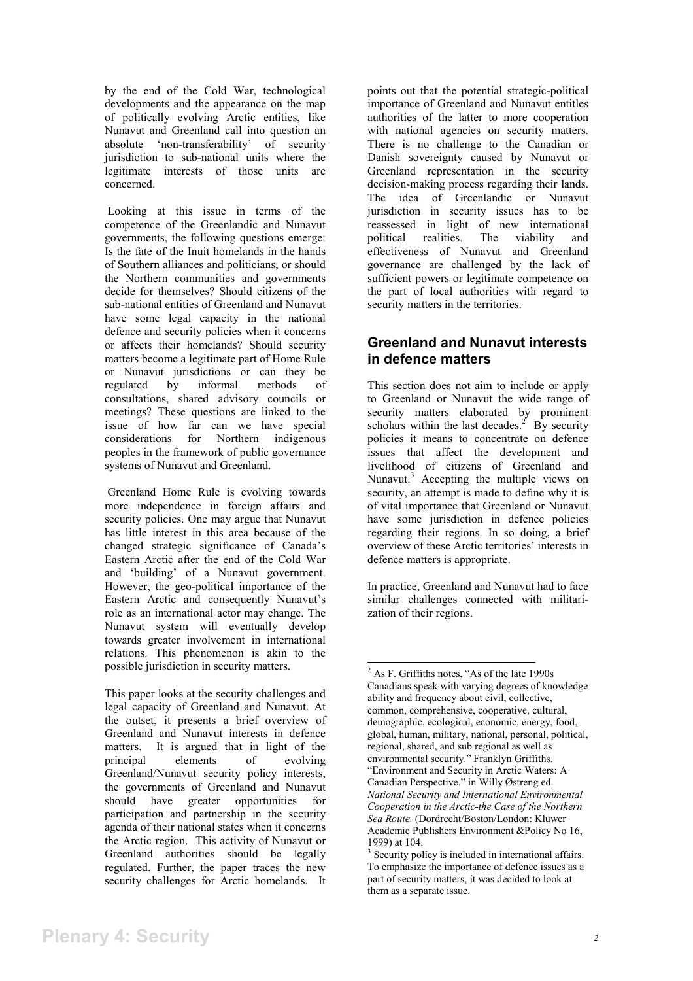by the end of the Cold War, technological developments and the appearance on the map of politically evolving Arctic entities, like Nunavut and Greenland call into question an absolute 'non-transferability' of security jurisdiction to sub-national units where the legitimate interests of those units are concerned.

Looking at this issue in terms of the competence of the Greenlandic and Nunavut governments, the following questions emerge: Is the fate of the Inuit homelands in the hands of Southern alliances and politicians, or should the Northern communities and governments decide for themselves? Should citizens of the sub-national entities of Greenland and Nunavut have some legal capacity in the national defence and security policies when it concerns or affects their homelands? Should security matters become a legitimate part of Home Rule or Nunavut jurisdictions or can they be regulated by informal methods of consultations, shared advisory councils or meetings? These questions are linked to the issue of how far can we have special considerations for Northern indigenous peoples in the framework of public governance systems of Nunavut and Greenland.

Greenland Home Rule is evolving towards more independence in foreign affairs and security policies. One may argue that Nunavut has little interest in this area because of the changed strategic significance of Canada's Eastern Arctic after the end of the Cold War and 'building' of a Nunavut government. However, the geo-political importance of the Eastern Arctic and consequently Nunavut's role as an international actor may change. The Nunavut system will eventually develop towards greater involvement in international relations. This phenomenon is akin to the possible jurisdiction in security matters.

This paper looks at the security challenges and legal capacity of Greenland and Nunavut. At the outset, it presents a brief overview of Greenland and Nunavut interests in defence matters. It is argued that in light of the principal elements of evolving Greenland/Nunavut security policy interests, the governments of Greenland and Nunavut should have greater opportunities for participation and partnership in the security agenda of their national states when it concerns the Arctic region. This activity of Nunavut or Greenland authorities should be legally regulated. Further, the paper traces the new security challenges for Arctic homelands. It points out that the potential strategic-political importance of Greenland and Nunavut entitles authorities of the latter to more cooperation with national agencies on security matters. There is no challenge to the Canadian or Danish sovereignty caused by Nunavut or Greenland representation in the security decision-making process regarding their lands. The idea of Greenlandic or Nunavut jurisdiction in security issues has to be reassessed in light of new international political realities. The viability and effectiveness of Nunavut and Greenland governance are challenged by the lack of sufficient powers or legitimate competence on the part of local authorities with regard to security matters in the territories.

## **Greenland and Nunavut interests in defence matters**

This section does not aim to include or apply to Greenland or Nunavut the wide range of security matters elaborated by prominent scholars within the last decades.<sup>2</sup> By security policies it means to concentrate on defence issues that affect the development and livelihood of citizens of Greenland and Nunavut.<sup>3</sup> Accepting the multiple views on security, an attempt is made to define why it is of vital importance that Greenland or Nunavut have some jurisdiction in defence policies regarding their regions. In so doing, a brief overview of these Arctic territories' interests in defence matters is appropriate.

In practice, Greenland and Nunavut had to face similar challenges connected with militarization of their regions.

<sup>2</sup> As F. Griffiths notes, "As of the late 1990s Canadians speak with varying degrees of knowledge ability and frequency about civil, collective, common, comprehensive, cooperative, cultural, demographic, ecological, economic, energy, food, global, human, military, national, personal, political, regional, shared, and sub regional as well as environmental security." Franklyn Griffiths. "Environment and Security in Arctic Waters: A Canadian Perspective." in Willy Østreng ed. *National Security and International Environmental Cooperation in the Arctic-the Case of the Northern Sea Route.* (Dordrecht/Boston/London: Kluwer Academic Publishers Environment &Policy No 16, 1999) at 104.

<sup>&</sup>lt;sup>3</sup> Security policy is included in international affairs. To emphasize the importance of defence issues as a part of security matters, it was decided to look at them as a separate issue.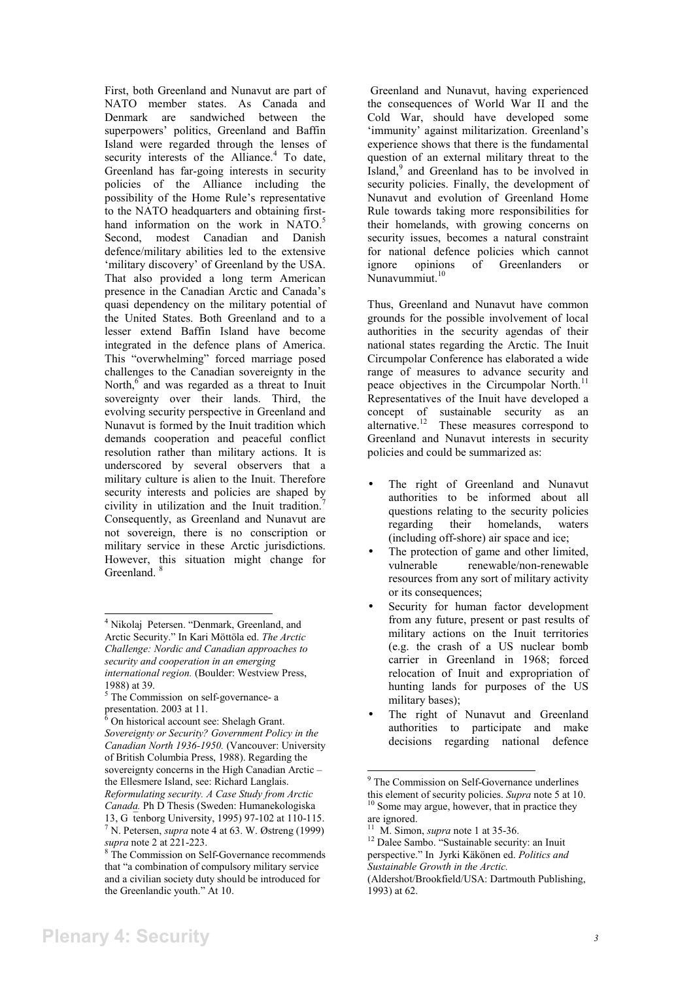First, both Greenland and Nunavut are part of NATO member states. As Canada and Denmark are sandwiched between the superpowers' politics, Greenland and Baffin Island were regarded through the lenses of security interests of the Alliance. $4$  To date, Greenland has far-going interests in security policies of the Alliance including the possibility of the Home Rule's representative to the NATO headquarters and obtaining firsthand information on the work in NATO.<sup>5</sup> Second, modest Canadian and Danish defence/military abilities led to the extensive 'military discovery' of Greenland by the USA. That also provided a long term American presence in the Canadian Arctic and Canada's quasi dependency on the military potential of the United States. Both Greenland and to a lesser extend Baffin Island have become integrated in the defence plans of America. This "overwhelming" forced marriage posed challenges to the Canadian sovereignty in the North, $6$  and was regarded as a threat to Inuit sovereignty over their lands. Third, the evolving security perspective in Greenland and Nunavut is formed by the Inuit tradition which demands cooperation and peaceful conflict resolution rather than military actions. It is underscored by several observers that a military culture is alien to the Inuit. Therefore security interests and policies are shaped by civility in utilization and the Inuit tradition.<sup>7</sup> Consequently, as Greenland and Nunavut are not sovereign, there is no conscription or military service in these Arctic jurisdictions. However, this situation might change for Greenland

 Greenland and Nunavut, having experienced the consequences of World War II and the Cold War, should have developed some 'immunity' against militarization. Greenland's experience shows that there is the fundamental question of an external military threat to the Island,<sup>9</sup> and Greenland has to be involved in security policies. Finally, the development of Nunavut and evolution of Greenland Home Rule towards taking more responsibilities for their homelands, with growing concerns on security issues, becomes a natural constraint for national defence policies which cannot ignore opinions of Greenlanders or Nunavummiut.<sup>10</sup>

Thus, Greenland and Nunavut have common grounds for the possible involvement of local authorities in the security agendas of their national states regarding the Arctic. The Inuit Circumpolar Conference has elaborated a wide range of measures to advance security and peace objectives in the Circumpolar North.<sup>11</sup> Representatives of the Inuit have developed a concept of sustainable security as an alternative.<sup>12</sup> These measures correspond to Greenland and Nunavut interests in security policies and could be summarized as:

- The right of Greenland and Nunavut authorities to be informed about all questions relating to the security policies regarding their homelands, waters (including off-shore) air space and ice;
- The protection of game and other limited, vulnerable renewable/non-renewable resources from any sort of military activity or its consequences;
- Security for human factor development from any future, present or past results of military actions on the Inuit territories (e.g. the crash of a US nuclear bomb carrier in Greenland in 1968; forced relocation of Inuit and expropriation of hunting lands for purposes of the US military bases);
- The right of Nunavut and Greenland authorities to participate and make decisions regarding national defence

<sup>4</sup> Nikolaj Petersen. "Denmark, Greenland, and Arctic Security." In Kari Möttöla ed. *The Arctic Challenge: Nordic and Canadian approaches to security and cooperation in an emerging international region.* (Boulder: Westview Press, 1988) at 39.

<sup>&</sup>lt;sup>5</sup> The Commission on self-governance- a presentation. 2003 at 11.

 $6$  On historical account see: Shelagh Grant. *Sovereignty or Security? Government Policy in the Canadian North 1936-1950.* (Vancouver: University of British Columbia Press, 1988). Regarding the sovereignty concerns in the High Canadian Arctic – the Ellesmere Island, see: Richard Langlais. *Reformulating security. A Case Study from Arctic Canada.* Ph D Thesis (Sweden: Humanekologiska 13, Gtenborg University, 1995) 97-102 at 110-115. 7 N. Petersen, *supra* note 4 at 63. W. Østreng (1999)

*supra* note 2 at 221-223.<br><sup>8</sup> The Commission on Self-Governance recommends that "a combination of compulsory military service and a civilian society duty should be introduced for the Greenlandic youth." At 10.

<sup>&</sup>lt;sup>9</sup> The Commission on Self-Governance underlines this element of security policies. *Supra* note 5 at 10. <sup>10</sup> Some may argue, however, that in practice they

are ignored.

<sup>&</sup>lt;sup>11</sup> M. Simon, *supra* note 1 at 35-36.<br><sup>12</sup> Dalee Sambo. "Sustainable security: an Inuit perspective." In Jyrki Käkönen ed. *Politics and Sustainable Growth in the Arctic.* 

<sup>(</sup>Aldershot/Brookfield/USA: Dartmouth Publishing, 1993) at 62.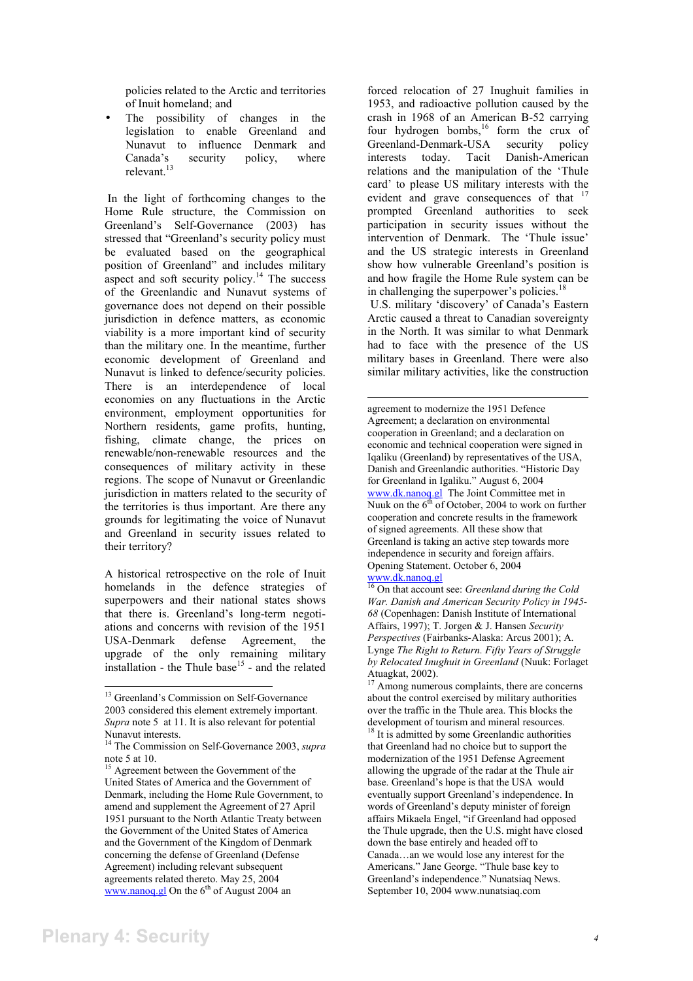policies related to the Arctic and territories of Inuit homeland; and

The possibility of changes in the legislation to enable Greenland and Nunavut to influence Denmark and Canada's security policy, where relevant.<sup>13</sup>

In the light of forthcoming changes to the Home Rule structure, the Commission on Greenland's Self-Governance (2003) has stressed that "Greenland's security policy must be evaluated based on the geographical position of Greenland" and includes military aspect and soft security policy.<sup>14</sup> The success of the Greenlandic and Nunavut systems of governance does not depend on their possible jurisdiction in defence matters, as economic viability is a more important kind of security than the military one. In the meantime, further economic development of Greenland and Nunavut is linked to defence/security policies. There is an interdependence of local economies on any fluctuations in the Arctic environment, employment opportunities for Northern residents, game profits, hunting, fishing, climate change, the prices on renewable/non-renewable resources and the consequences of military activity in these regions. The scope of Nunavut or Greenlandic jurisdiction in matters related to the security of the territories is thus important. Are there any grounds for legitimating the voice of Nunavut and Greenland in security issues related to their territory?

A historical retrospective on the role of Inuit homelands in the defence strategies of superpowers and their national states shows that there is. Greenland's long-term negotiations and concerns with revision of the 1951 USA-Denmark defense Agreement, the upgrade of the only remaining military  $intallation - the Thule base<sup>15</sup> - and the related$  forced relocation of 27 Inughuit families in 1953, and radioactive pollution caused by the crash in 1968 of an American B-52 carrying four hydrogen bombs, $16$  form the crux of Greenland-Denmark-USA security policy interests today. Tacit Danish-American relations and the manipulation of the 'Thule card' to please US military interests with the evident and grave consequences of that <sup>17</sup> prompted Greenland authorities to seek participation in security issues without the intervention of Denmark. The 'Thule issue' and the US strategic interests in Greenland show how vulnerable Greenland's position is and how fragile the Home Rule system can be in challenging the superpower's policies. $18$ 

U.S. military 'discovery' of Canada's Eastern Arctic caused a threat to Canadian sovereignty in the North. It was similar to what Denmark had to face with the presence of the US military bases in Greenland. There were also similar military activities, like the construction

agreement to modernize the 1951 Defence Agreement; a declaration on environmental cooperation in Greenland; and a declaration on economic and technical cooperation were signed in Iqaliku (Greenland) by representatives of the USA, Danish and Greenlandic authorities. "Historic Day for Greenland in Igaliku." August 6, 2004 www.dk.nanoq.gl The Joint Committee met in Nuuk on the  $6<sup>th</sup>$  of October, 2004 to work on further cooperation and concrete results in the framework of signed agreements. All these show that Greenland is taking an active step towards more independence in security and foreign affairs. Opening Statement. October 6, 2004 www.dk.nanoq.gl

16 On that account see: *Greenland during the Cold War. Danish and American Security Policy in 1945- 68* (Copenhagen: Danish Institute of International Affairs, 1997); T. Jorgen & J. Hansen *Security Perspectives* (Fairbanks-Alaska: Arcus 2001); A. Lynge *The Right to Return. Fifty Years of Struggle by Relocated Inughuit in Greenland* (Nuuk: Forlaget Atuagkat, 2002).

<sup>&</sup>lt;sup>13</sup> Greenland's Commission on Self-Governance 2003 considered this element extremely important. *Supra* note 5 at 11. It is also relevant for potential Nunavut interests.

<sup>14</sup> The Commission on Self-Governance 2003, *supra* note 5 at 10.

<sup>&</sup>lt;sup>15</sup> Agreement between the Government of the United States of America and the Government of Denmark, including the Home Rule Government, to amend and supplement the Agreement of 27 April 1951 pursuant to the North Atlantic Treaty between the Government of the United States of America and the Government of the Kingdom of Denmark concerning the defense of Greenland (Defense Agreement) including relevant subsequent agreements related thereto. May 25, 2004 www.nanoq.gl On the  $6<sup>th</sup>$  of August 2004 an

Among numerous complaints, there are concerns about the control exercised by military authorities over the traffic in the Thule area. This blocks the development of tourism and mineral resources.

It is admitted by some Greenlandic authorities that Greenland had no choice but to support the modernization of the 1951 Defense Agreement allowing the upgrade of the radar at the Thule air base. Greenland's hope is that the USA would eventually support Greenland's independence. In words of Greenland's deputy minister of foreign affairs Mikaela Engel, "if Greenland had opposed the Thule upgrade, then the U.S. might have closed down the base entirely and headed off to Canada…an we would lose any interest for the Americans." Jane George. "Thule base key to Greenland's independence." Nunatsiaq News. September 10, 2004 www.nunatsiaq.com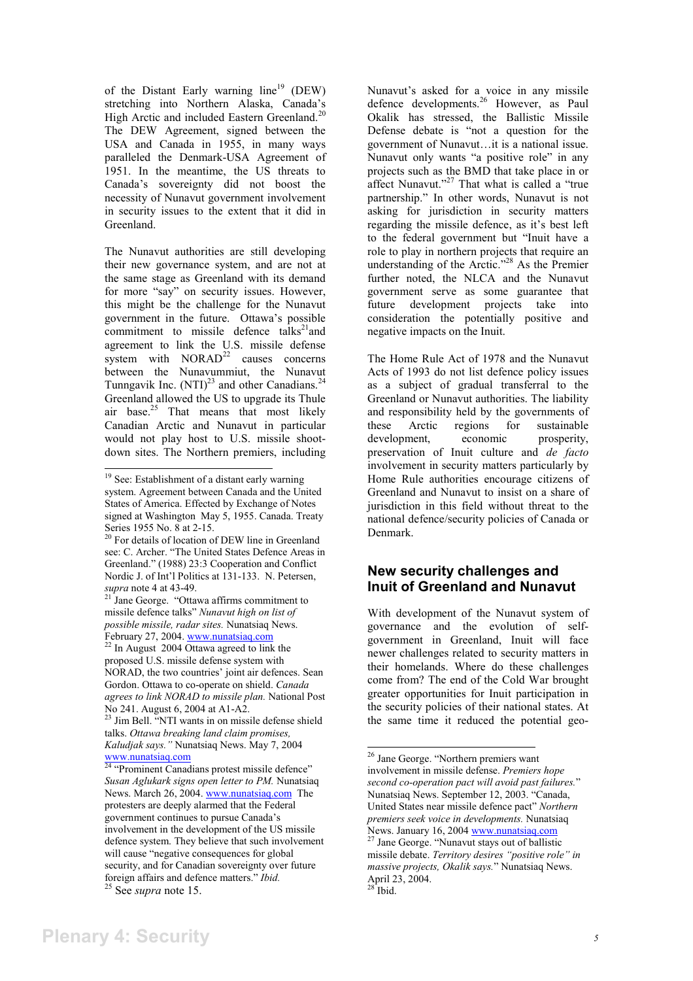of the Distant Early warning  $line<sup>19</sup>$  (DEW) stretching into Northern Alaska, Canada's High Arctic and included Eastern Greenland.<sup>20</sup> The DEW Agreement, signed between the USA and Canada in 1955, in many ways paralleled the Denmark-USA Agreement of 1951. In the meantime, the US threats to Canada's sovereignty did not boost the necessity of Nunavut government involvement in security issues to the extent that it did in Greenland.

The Nunavut authorities are still developing their new governance system, and are not at the same stage as Greenland with its demand for more "say" on security issues. However, this might be the challenge for the Nunavut government in the future. Ottawa's possible commitment to missile defence  $talks<sup>21</sup>$  and agreement to link the U.S. missile defense system with  $NORAD<sup>22</sup>$  causes concerns between the Nunavummiut, the Nunavut Tunngavik Inc.  $(NTI)^{23}$  and other Canadians.<sup>24</sup> Greenland allowed the US to upgrade its Thule air base.<sup>25</sup> That means that most likely Canadian Arctic and Nunavut in particular would not play host to U.S. missile shootdown sites. The Northern premiers, including

Nunavut's asked for a voice in any missile defence developments.<sup>26</sup> However, as Paul Okalik has stressed, the Ballistic Missile Defense debate is "not a question for the government of Nunavut…it is a national issue. Nunavut only wants "a positive role" in any projects such as the BMD that take place in or affect Nunavut."<sup>27</sup> That what is called a "true" partnership." In other words, Nunavut is not asking for jurisdiction in security matters regarding the missile defence, as it's best left to the federal government but "Inuit have a role to play in northern projects that require an understanding of the Arctic."28 As the Premier further noted, the NLCA and the Nunavut government serve as some guarantee that future development projects take into consideration the potentially positive and negative impacts on the Inuit.

The Home Rule Act of 1978 and the Nunavut Acts of 1993 do not list defence policy issues as a subject of gradual transferral to the Greenland or Nunavut authorities. The liability and responsibility held by the governments of these Arctic regions for sustainable development, economic prosperity, preservation of Inuit culture and *de facto* involvement in security matters particularly by Home Rule authorities encourage citizens of Greenland and Nunavut to insist on a share of jurisdiction in this field without threat to the national defence/security policies of Canada or Denmark.

## **New security challenges and Inuit of Greenland and Nunavut**

With development of the Nunavut system of governance and the evolution of selfgovernment in Greenland, Inuit will face newer challenges related to security matters in their homelands. Where do these challenges come from? The end of the Cold War brought greater opportunities for Inuit participation in the security policies of their national states. At the same time it reduced the potential geo-

<sup>19</sup> See: Establishment of a distant early warning system. Agreement between Canada and the United States of America. Effected by Exchange of Notes signed at Washington May 5, 1955. Canada. Treaty Series 1955 No. 8 at 2-15.

<sup>&</sup>lt;sup>20</sup> For details of location of DEW line in Greenland see: C. Archer. "The United States Defence Areas in Greenland." (1988) 23:3 Cooperation and Conflict Nordic J. of Int'l Politics at 131-133. N. Petersen, *supra* note 4 at 43-49. 21 Jane George. "Ottawa affirms commitment to

missile defence talks" *Nunavut high on list of possible missile, radar sites.* Nunatsiaq News. February 27, 2004. www.nunatsiaq.com<br>
<sup>22</sup> In August 2004 Ottawa agreed to link the

proposed U.S. missile defense system with NORAD, the two countries' joint air defences. Sean Gordon. Ottawa to co-operate on shield. *Canada agrees to link NORAD to missile plan.* National Post No 241. August 6, 2004 at A1-A2.

<sup>&</sup>lt;sup>23</sup> Jim Bell. "NTI wants in on missile defense shield talks. *Ottawa breaking land claim promises, Kaludjak says."* Nunatsiaq News. May 7, 2004 www.nunatsiaq.com

<sup>&</sup>lt;sup>24</sup> "Prominent Canadians protest missile defence" *Susan Aglukark signs open letter to PM.* Nunatsiaq News. March 26, 2004. www.nunatsiaq.com The protesters are deeply alarmed that the Federal government continues to pursue Canada's involvement in the development of the US missile defence system. They believe that such involvement will cause "negative consequences for global security, and for Canadian sovereignty over future foreign affairs and defence matters." *Ibid.* 25 See *supra* note 15.

<sup>26</sup> Jane George. "Northern premiers want involvement in missile defense. *Premiers hope second co-operation pact will avoid past failures.*" Nunatsiaq News. September 12, 2003. "Canada, United States near missile defence pact" *Northern premiers seek voice in developments.* Nunatsiaq News. January 16, 2004 www.nunatsiaq.com<sup>27</sup> Jane George. "Nunavut stays out of ballistic missile debate. *Territory desires "positive role" in massive projects, Okalik says.*" Nunatsiaq News. April 23, 2004.  $28$  Ibid.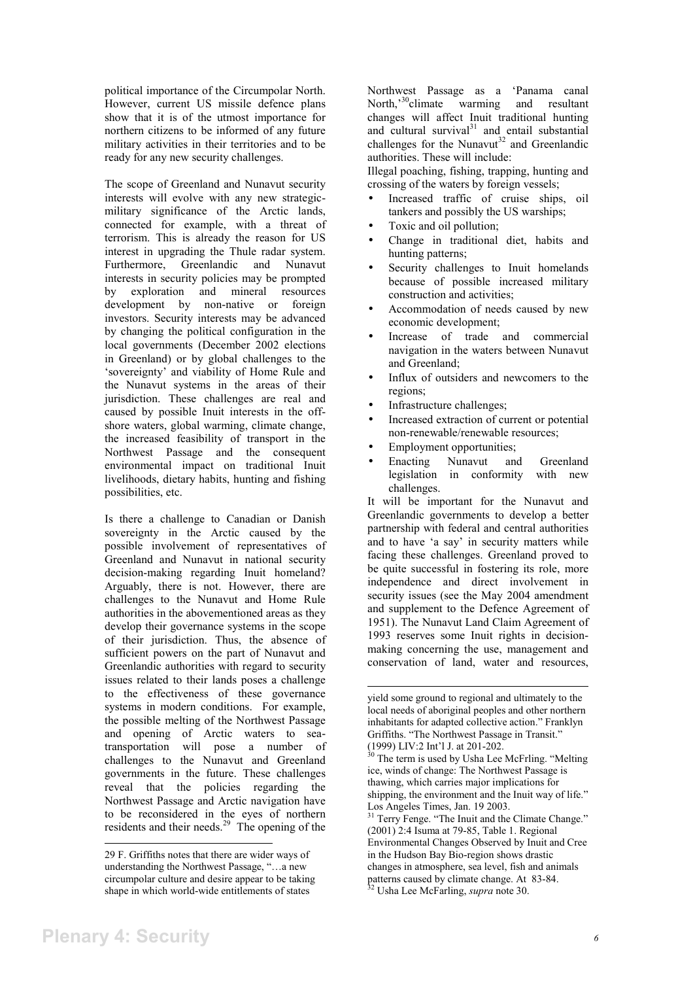political importance of the Circumpolar North. However, current US missile defence plans show that it is of the utmost importance for northern citizens to be informed of any future military activities in their territories and to be ready for any new security challenges.

The scope of Greenland and Nunavut security interests will evolve with any new strategicmilitary significance of the Arctic lands, connected for example, with a threat of terrorism. This is already the reason for US interest in upgrading the Thule radar system. Furthermore, Greenlandic and Nunavut interests in security policies may be prompted by exploration and mineral resources development by non-native or foreign investors. Security interests may be advanced by changing the political configuration in the local governments (December 2002 elections in Greenland) or by global challenges to the 'sovereignty' and viability of Home Rule and the Nunavut systems in the areas of their jurisdiction. These challenges are real and caused by possible Inuit interests in the offshore waters, global warming, climate change, the increased feasibility of transport in the Northwest Passage and the consequent environmental impact on traditional Inuit livelihoods, dietary habits, hunting and fishing possibilities, etc.

Is there a challenge to Canadian or Danish sovereignty in the Arctic caused by the possible involvement of representatives of Greenland and Nunavut in national security decision-making regarding Inuit homeland? Arguably, there is not. However, there are challenges to the Nunavut and Home Rule authorities in the abovementioned areas as they develop their governance systems in the scope of their jurisdiction. Thus, the absence of sufficient powers on the part of Nunavut and Greenlandic authorities with regard to security issues related to their lands poses a challenge to the effectiveness of these governance systems in modern conditions. For example, the possible melting of the Northwest Passage and opening of Arctic waters to seatransportation will pose a number of challenges to the Nunavut and Greenland governments in the future. These challenges reveal that the policies regarding the Northwest Passage and Arctic navigation have to be reconsidered in the eyes of northern residents and their needs.<sup>29</sup> The opening of the

Northwest Passage as a 'Panama canal North,<sup>30</sup>climate warming and resultant changes will affect Inuit traditional hunting and cultural survival $31$  and entail substantial challenges for the Nunavut<sup>32</sup> and Greenlandic authorities. These will include:

Illegal poaching, fishing, trapping, hunting and crossing of the waters by foreign vessels;

- Increased traffic of cruise ships, oil tankers and possibly the US warships;
- Toxic and oil pollution;
- Change in traditional diet, habits and hunting patterns;
- Security challenges to Inuit homelands because of possible increased military construction and activities;
- Accommodation of needs caused by new economic development;
- Increase of trade and commercial navigation in the waters between Nunavut and Greenland;
- Influx of outsiders and newcomers to the regions;
- Infrastructure challenges:
- Increased extraction of current or potential non-renewable/renewable resources;
- Employment opportunities;
- Enacting Nunavut and Greenland legislation in conformity with new challenges.

It will be important for the Nunavut and Greenlandic governments to develop a better partnership with federal and central authorities and to have 'a say' in security matters while facing these challenges. Greenland proved to be quite successful in fostering its role, more independence and direct involvement in security issues (see the May 2004 amendment and supplement to the Defence Agreement of 1951). The Nunavut Land Claim Agreement of 1993 reserves some Inuit rights in decisionmaking concerning the use, management and conservation of land, water and resources,

<sup>29</sup> F. Griffiths notes that there are wider ways of understanding the Northwest Passage, "…a new circumpolar culture and desire appear to be taking shape in which world-wide entitlements of states

yield some ground to regional and ultimately to the local needs of aboriginal peoples and other northern inhabitants for adapted collective action." Franklyn Griffiths. "The Northwest Passage in Transit." (1999) LIV:2 Int'l J. at 201-202.

 $30$  The term is used by Usha Lee McFrling. "Melting ice, winds of change: The Northwest Passage is thawing, which carries major implications for shipping, the environment and the Inuit way of life." Los Angeles Times, Jan. 19 2003.

<sup>&</sup>lt;sup>31</sup> Terry Fenge. "The Inuit and the Climate Change." (2001) 2:4 Isuma at 79-85, Table 1. Regional Environmental Changes Observed by Inuit and Cree in the Hudson Bay Bio-region shows drastic changes in atmosphere, sea level, fish and animals patterns caused by climate change. At 83-84. 32 Usha Lee McFarling, *supra* note 30.